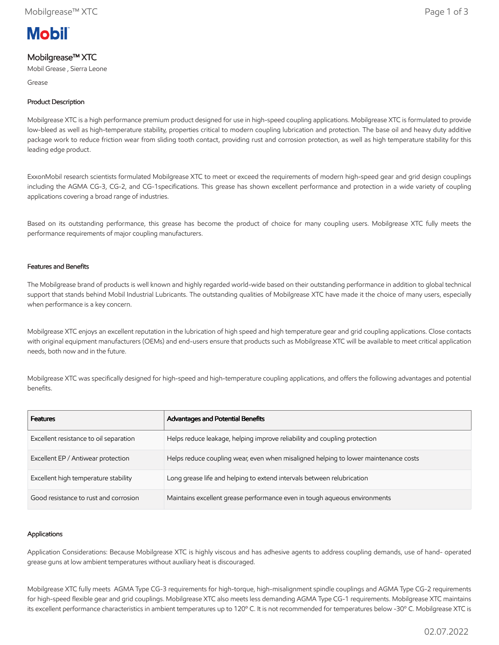# **Mobil**

# Mobilgrease™ XTC

Mobil Grease , Sierra Leone

Grease

## Product Description

Mobilgrease XTC is a high performance premium product designed for use in high-speed coupling applications. Mobilgrease XTC is formulated to provide low-bleed as well as high-temperature stability, properties critical to modern coupling lubrication and protection. The base oil and heavy duty additive package work to reduce friction wear from sliding tooth contact, providing rust and corrosion protection, as well as high temperature stability for this leading edge product.

ExxonMobil research scientists formulated Mobilgrease XTC to meet or exceed the requirements of modern high-speed gear and grid design couplings including the AGMA CG-3, CG-2, and CG-1specifications. This grease has shown excellent performance and protection in a wide variety of coupling applications covering a broad range of industries.

Based on its outstanding performance, this grease has become the product of choice for many coupling users. Mobilgrease XTC fully meets the performance requirements of major coupling manufacturers.

### Features and Benefits

The Mobilgrease brand of products is well known and highly regarded world-wide based on their outstanding performance in addition to global technical support that stands behind Mobil Industrial Lubricants. The outstanding qualities of Mobilgrease XTC have made it the choice of many users, especially when performance is a key concern.

Mobilgrease XTC enjoys an excellent reputation in the lubrication of high speed and high temperature gear and grid coupling applications. Close contacts with original equipment manufacturers (OEMs) and end-users ensure that products such as Mobilgrease XTC will be available to meet critical application needs, both now and in the future.

Mobilgrease XTC was specifically designed for high-speed and high-temperature coupling applications, and offers the following advantages and potential benefits.

| <b>Features</b>                        | Advantages and Potential Benefits                                                   |
|----------------------------------------|-------------------------------------------------------------------------------------|
| Excellent resistance to oil separation | Helps reduce leakage, helping improve reliability and coupling protection           |
| Excellent EP / Antiwear protection     | Helps reduce coupling wear, even when misaligned helping to lower maintenance costs |
| Excellent high temperature stability   | Long grease life and helping to extend intervals between relubrication              |
| Good resistance to rust and corrosion  | Maintains excellent grease performance even in tough aqueous environments           |

#### Applications

Application Considerations: Because Mobilgrease XTC is highly viscous and has adhesive agents to address coupling demands, use of hand- operated grease guns at low ambient temperatures without auxiliary heat is discouraged.

Mobilgrease XTC fully meets AGMA Type CG-3 requirements for high-torque, high-misalignment spindle couplings and AGMA Type CG-2 requirements for high-speed flexible gear and grid couplings. Mobilgrease XTC also meets less demanding AGMA Type CG-1 requirements. Mobilgrease XTC maintains its excellent performance characteristics in ambient temperatures up to 120º C. It is not recommended for temperatures below -30º C. Mobilgrease XTC is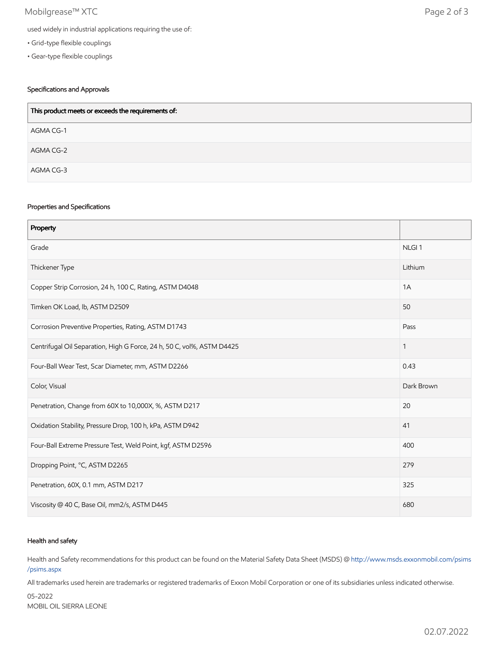## Mobilgrease™ XTC Page 2 of 3

- Grid-type flexible couplings
- Gear-type flexible couplings

## Specifications and Approvals

| This product meets or exceeds the requirements of: |
|----------------------------------------------------|
| AGMA CG-1                                          |
| AGMA CG-2                                          |
| AGMA CG-3                                          |

#### Properties and Specifications

| Property                                                               |                   |
|------------------------------------------------------------------------|-------------------|
| Grade                                                                  | NLGI <sub>1</sub> |
| Thickener Type                                                         | Lithium           |
| Copper Strip Corrosion, 24 h, 100 C, Rating, ASTM D4048                | 1A                |
| Timken OK Load, lb, ASTM D2509                                         | 50                |
| Corrosion Preventive Properties, Rating, ASTM D1743                    | Pass              |
| Centrifugal Oil Separation, High G Force, 24 h, 50 C, vol%, ASTM D4425 | 1                 |
| Four-Ball Wear Test, Scar Diameter, mm, ASTM D2266                     | 0.43              |
| Color, Visual                                                          | Dark Brown        |
| Penetration, Change from 60X to 10,000X, %, ASTM D217                  | 20                |
| Oxidation Stability, Pressure Drop, 100 h, kPa, ASTM D942              | 41                |
| Four-Ball Extreme Pressure Test, Weld Point, kgf, ASTM D2596           | 400               |
| Dropping Point, °C, ASTM D2265                                         | 279               |
| Penetration, 60X, 0.1 mm, ASTM D217                                    | 325               |
| Viscosity @ 40 C, Base Oil, mm2/s, ASTM D445                           | 680               |

#### Health and safety

Health and Safety recommendations for this product can be found on the Material Safety Data Sheet (MSDS) @ [http://www.msds.exxonmobil.com/psims](http://www.msds.exxonmobil.com/psims/psims.aspx) /psims.aspx

All trademarks used herein are trademarks or registered trademarks of Exxon Mobil Corporation or one of its subsidiaries unless indicated otherwise.

05-2022 MOBIL OIL SIERRA LEONE